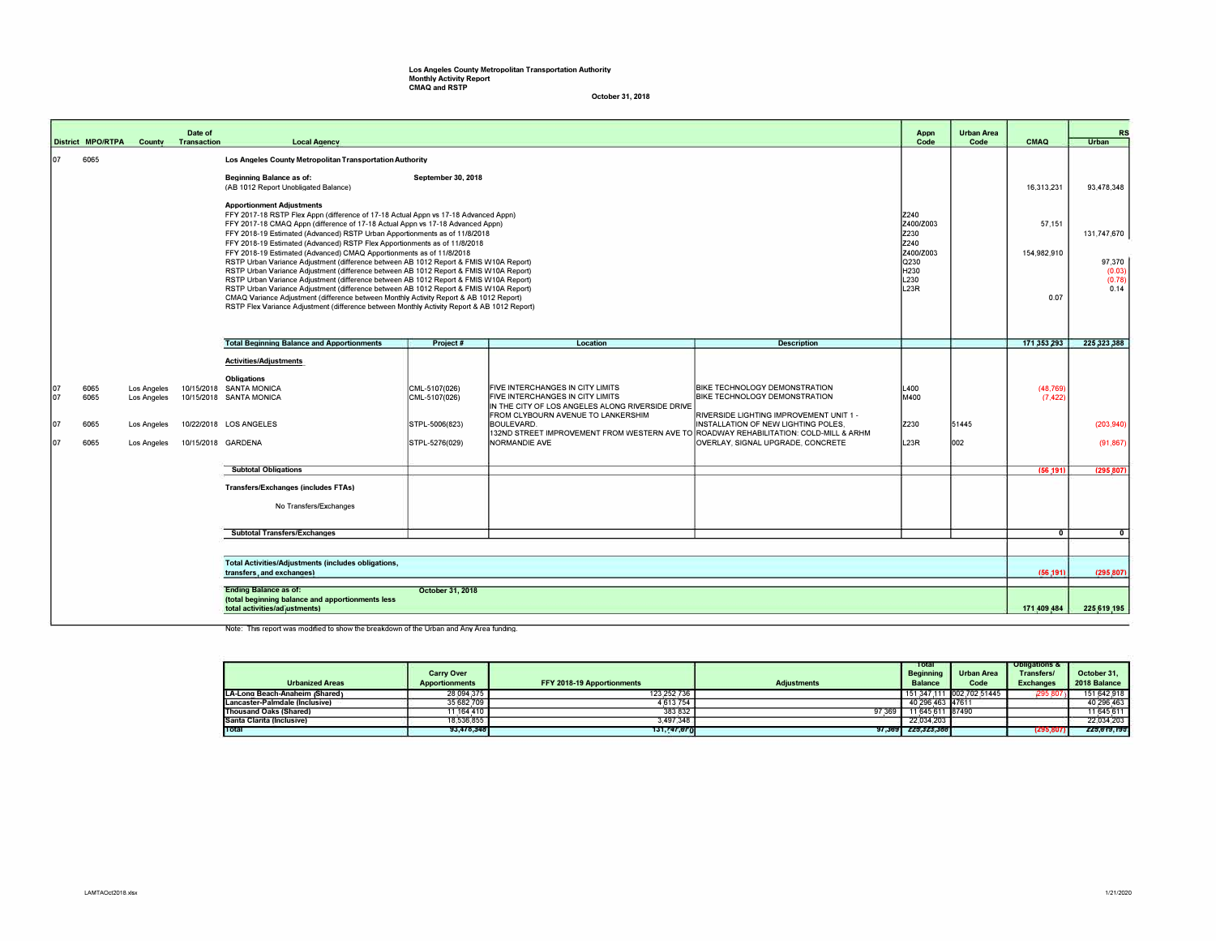## Los Angeles County Metropolitan Transportation Authority Monthly Activity Report CMAO and RSTP

October 31, 2018

|                                                                                                                                       | District MPO/RTPA                                                                       |                                   | Date of<br><b>County Transaction</b> | <b>Local Agency</b>                                                                                                                                                                                                                                                                                                                                                                                                                                        |                                |                                                                                                                                                                |                                                                                                                  | Appn<br>Code                       | <b>Urban Area</b><br>Code | <b>CMAQ</b>           | <b>RS</b><br><b>Urban</b> |
|---------------------------------------------------------------------------------------------------------------------------------------|-----------------------------------------------------------------------------------------|-----------------------------------|--------------------------------------|------------------------------------------------------------------------------------------------------------------------------------------------------------------------------------------------------------------------------------------------------------------------------------------------------------------------------------------------------------------------------------------------------------------------------------------------------------|--------------------------------|----------------------------------------------------------------------------------------------------------------------------------------------------------------|------------------------------------------------------------------------------------------------------------------|------------------------------------|---------------------------|-----------------------|---------------------------|
| 107                                                                                                                                   | 6065                                                                                    |                                   |                                      | Los Angeles County Metropolitan Transportation Authority<br>Beginning Balance as of:<br>September 30, 2018<br>(AB 1012 Report Unobligated Balance)<br><b>Apportionment Adjustments</b>                                                                                                                                                                                                                                                                     |                                |                                                                                                                                                                |                                                                                                                  |                                    |                           | 16.313.231            | 93.478.348                |
|                                                                                                                                       |                                                                                         |                                   |                                      | FFY 2017-18 RSTP Flex Appn (difference of 17-18 Actual Appn vs 17-18 Advanced Appn)<br>Z240<br>Z400/Z003<br>FFY 2017-18 CMAQ Appn (difference of 17-18 Actual Appn vs 17-18 Advanced Appn)<br>Z230<br>FFY 2018-19 Estimated (Advanced) RSTP Urban Apportionments as of 11/8/2018<br>Z240<br>FFY 2018-19 Estimated (Advanced) RSTP Flex Apportionments as of 11/8/2018<br>FFY 2018-19 Estimated (Advanced) CMAQ Apportionments as of 11/8/2018<br>Z400/Z003 |                                |                                                                                                                                                                |                                                                                                                  |                                    |                           | 57,151<br>154,982,910 | 131,747,670               |
|                                                                                                                                       |                                                                                         |                                   |                                      | RSTP Urban Variance Adjustment (difference between AB 1012 Report & FMIS W10A Report)<br>RSTP Urban Variance Adjustment (difference between AB 1012 Report & FMIS W10A Report)<br>RSTP Urban Variance Adjustment (difference between AB 1012 Report & FMIS W10A Report)<br>RSTP Urban Variance Adjustment (difference between AB 1012 Report & FMIS W10A Report)<br>CMAQ Variance Adjustment (difference between Monthly Activity Report & AB 1012 Report) | l Q230<br>H230<br>L230<br>L23R |                                                                                                                                                                | 0.07                                                                                                             | 97,370<br>(0.03)<br>(0.78)<br>0.14 |                           |                       |                           |
|                                                                                                                                       |                                                                                         |                                   |                                      | RSTP Flex Variance Adjustment (difference between Monthly Activity Report & AB 1012 Report)                                                                                                                                                                                                                                                                                                                                                                |                                |                                                                                                                                                                |                                                                                                                  |                                    |                           | 171,353,293           | 225,323,388               |
|                                                                                                                                       |                                                                                         |                                   |                                      | <b>Total Beginning Balance and Apportionments</b><br><b>Activities/Adjustments</b>                                                                                                                                                                                                                                                                                                                                                                         | Project#                       | Location                                                                                                                                                       | <b>Description</b>                                                                                               |                                    |                           |                       |                           |
| 107<br>107                                                                                                                            | 6065<br>6065                                                                            | <b>Los Angeles</b><br>Los Angeles |                                      | <b>Obligations</b><br>10/15/2018 SANTA MONICA<br>10/15/2018 SANTA MONICA                                                                                                                                                                                                                                                                                                                                                                                   | CML-5107(026)<br>CML-5107(026) | FIVE INTERCHANGES IN CITY LIMITS<br>FIVE INTERCHANGES IN CITY LIMITS<br>IN THE CITY OF LOS ANGELES ALONG RIVERSIDE DRIVE<br>FROM CLYBOURN AVENUE TO LANKERSHIM | <b>BIKE TECHNOLOGY DEMONSTRATION</b><br>BIKE TECHNOLOGY DEMONSTRATION<br>RIVERSIDE LIGHTING IMPROVEMENT UNIT 1 - | L400<br>M400                       |                           | (48, 769)<br>(7, 422) |                           |
| 107<br>107                                                                                                                            | 6065<br>6065                                                                            | <b>Los Angeles</b>                |                                      | 10/22/2018 LOS ANGELES<br>10/15/2018 GARDENA                                                                                                                                                                                                                                                                                                                                                                                                               | STPL-5006(823)                 | BOULEVARD.<br>132ND STREET IMPROVEMENT FROM WESTERN AVE TO ROADWAY REHABILITATION: COLD-MILL & ARHM<br>NORMANDIE AVE                                           | INSTALLATION OF NEW LIGHTING POLES,<br><b>IOVERLAY, SIGNAL UPGRADE, CONCRETE</b>                                 | Z230<br>L23R                       | 51445<br>002              |                       | (203, 940)                |
|                                                                                                                                       |                                                                                         | Los Angeles                       |                                      |                                                                                                                                                                                                                                                                                                                                                                                                                                                            | STPL-5276(029)                 |                                                                                                                                                                |                                                                                                                  |                                    |                           |                       | (91, 867)                 |
|                                                                                                                                       |                                                                                         |                                   |                                      | <b>Subtotal Obligations</b>                                                                                                                                                                                                                                                                                                                                                                                                                                |                                |                                                                                                                                                                |                                                                                                                  |                                    |                           | (56.191)              | (295,807                  |
|                                                                                                                                       |                                                                                         |                                   |                                      | <b>Transfers/Exchanges (includes FTAs)</b>                                                                                                                                                                                                                                                                                                                                                                                                                 |                                |                                                                                                                                                                |                                                                                                                  |                                    |                           |                       |                           |
|                                                                                                                                       |                                                                                         |                                   |                                      | No Transfers/Exchanges                                                                                                                                                                                                                                                                                                                                                                                                                                     |                                |                                                                                                                                                                |                                                                                                                  |                                    |                           |                       |                           |
|                                                                                                                                       |                                                                                         |                                   |                                      | <b>Subtotal Transfers/Exchanges</b>                                                                                                                                                                                                                                                                                                                                                                                                                        |                                |                                                                                                                                                                |                                                                                                                  |                                    |                           | $\mathbf{0}$          | $\mathbf{0}$              |
|                                                                                                                                       |                                                                                         |                                   |                                      |                                                                                                                                                                                                                                                                                                                                                                                                                                                            |                                |                                                                                                                                                                |                                                                                                                  |                                    |                           |                       |                           |
|                                                                                                                                       | <b>Total Activities/Adjustments (includes obligations,</b><br>transfers, and exchanges) |                                   |                                      |                                                                                                                                                                                                                                                                                                                                                                                                                                                            |                                |                                                                                                                                                                |                                                                                                                  |                                    | (56, 191)                 | (295, 807)            |                           |
| <b>Ending Balance as of:</b><br>October 31, 2018<br>(total beginning balance and apportionments less<br>total activities/adjustments) |                                                                                         |                                   |                                      |                                                                                                                                                                                                                                                                                                                                                                                                                                                            |                                |                                                                                                                                                                |                                                                                                                  |                                    | 171,409,484               | 225,619,195           |                           |

Note: This report was modified to show the breakdown of the Urban and Any Area funding.

| <b>Urbanized Areas</b>         | <b>Carry Over</b><br><b>Apportionments</b> | FFY 2018-19 Apportionments | <b>Adiustments</b> | Total<br><b>Beainning</b><br><b>Balance</b> | <b>Urban Area</b><br>Code | <b>Obligations &amp;</b><br>Transfers/<br><b>Exchanges</b> | October 31.<br>2018 Balance |
|--------------------------------|--------------------------------------------|----------------------------|--------------------|---------------------------------------------|---------------------------|------------------------------------------------------------|-----------------------------|
| LA-Long Beach-Anaheim (Shared) | 28.094.375                                 | 123 252 736                |                    |                                             | 151.347.111 002.702.51445 | 295 807                                                    | 151 642 918                 |
| Lancaster-Palmdale (Inclusive) | 35,682,709                                 | 4,613,754                  |                    | 40.296.463 47611                            |                           |                                                            | 40,296,463                  |
| Thousand Oaks (Shared)         | 1.164.410                                  | 383.832                    | 97.369             | 11.645.611 87490                            |                           |                                                            | 11,645,611                  |
| Santa Clarita (Inclusive)      | 18.536.855                                 | 3,497,348                  |                    | 22.034.203                                  |                           |                                                            | 22,034,203                  |
| Total                          | 93,478,348                                 | 131,747,670                |                    | 97.369 225.323.388                          |                           | (295,807                                                   | 225,619,195                 |
|                                |                                            |                            |                    |                                             |                           |                                                            |                             |